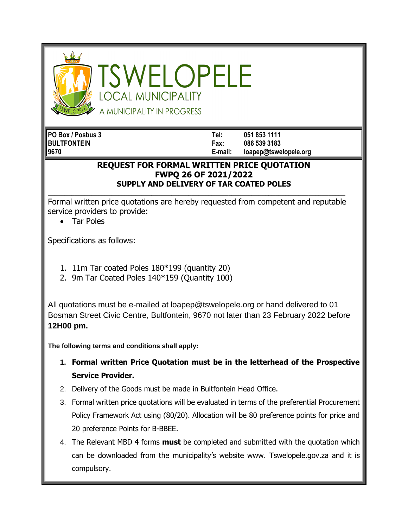

SWELOPELE **OCAL MUNICIPALITY** A MUNICIPALITY IN PROGRESS

**PO Box / Posbus 3 Tel: 051 853 1111 BULTFONTEIN Fax: 086 539 3183 9670 E-mail: loapep@tswelopele.org**

## **REQUEST FOR FORMAL WRITTEN PRICE QUOTATION FWPQ 26 OF 2021/2022 SUPPLY AND DELIVERY OF TAR COATED POLES**

Formal written price quotations are hereby requested from competent and reputable service providers to provide:

**\_\_\_\_\_\_\_\_\_\_\_\_\_\_\_\_\_\_\_\_\_\_\_\_\_\_\_\_\_\_\_\_\_\_\_\_\_\_\_\_\_\_\_\_\_\_\_\_\_\_\_\_\_\_\_\_\_\_\_\_\_\_\_\_\_\_\_\_\_\_\_\_\_\_\_\_\_\_\_\_\_\_\_\_\_\_\_\_\_**

• Tar Poles

Specifications as follows:

- 1. 11m Tar coated Poles 180\*199 (quantity 20)
- 2. 9m Tar Coated Poles 140\*159 (Quantity 100)

All quotations must be e-mailed at loapep@tswelopele.org or hand delivered to 01 Bosman Street Civic Centre, Bultfontein, 9670 not later than 23 February 2022 before **12H00 pm.**

**The following terms and conditions shall apply:**

- **1. Formal written Price Quotation must be in the letterhead of the Prospective Service Provider.**
- 2. Delivery of the Goods must be made in Bultfontein Head Office.
- 3. Formal written price quotations will be evaluated in terms of the preferential Procurement Policy Framework Act using (80/20). Allocation will be 80 preference points for price and 20 preference Points for B-BBEE.
- 4. The Relevant MBD 4 forms **must** be completed and submitted with the quotation which can be downloaded from the municipality's website www. Tswelopele.gov.za and it is compulsory.